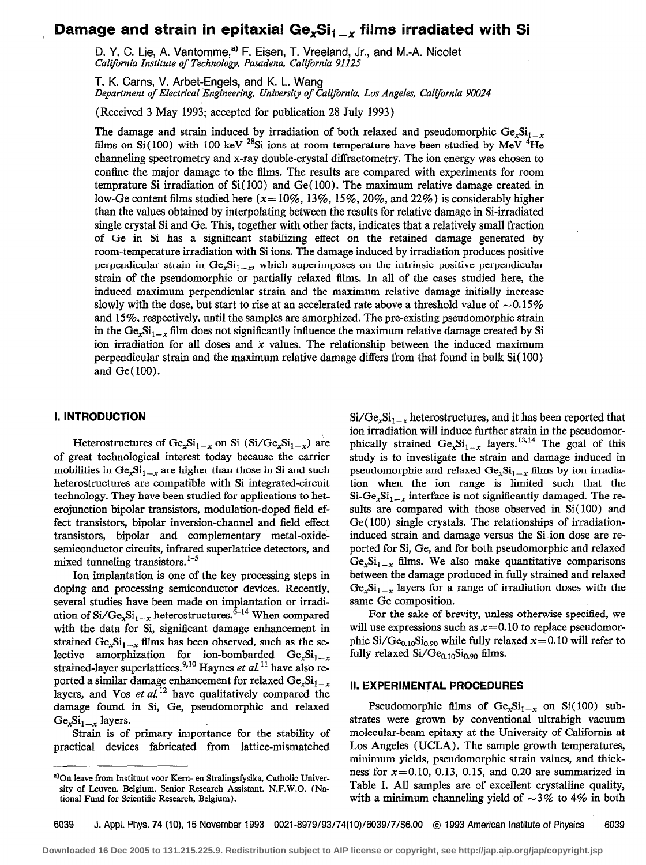# Damage and strain in epitaxial Ge<sub>x</sub>Si<sub>1-x</sub> films irradiated with Si

D. Y. C. Lie, A. Vantomme,<sup>a)</sup> F. Eisen, T. Vreeland, Jr., and M.-A. Nicolet California Institute of Technology, Pasadena, California 91125

T. K. Carns, V. Arbet-Engels, and K. L. Wang

Department of Electrical Engineering, University of California, Los Angeles, California 90024

(Received 3 May 1993; accepted for publication 28 July 1993)

The damage and strain induced by irradiation of both relaxed and pseudomorphic  $Ge_xSi_{1-x}$ films on Si(100) with 100 keV <sup>28</sup>Si ions at room temperature have been studied by MeV <sup>4</sup>He channeling spectrometry and x-ray double-crystal diffractometry. The ion energy was chosen to confine the major damage to the films. The results are compared with experiments for room temprature Si irradiation of Si( 100) and Ge( 100). The maximum relative damage created in low-Ge content films studied here ( $x=10\%$ , 13%, 15%, 20%, and 22%) is considerably higher than the values obtained by interpolating between the results for relative damage in Si-irradiated single crystal Si and Ge. This, together with other facts, indicates that a relatively small fraction of Ge in Si has a significant stabilizing effect on the retained damage generated by room-temperature irradiation with Si ions. The damage induced by irradiation produces positive perpendicular strain in  $Ge_1Si_{1-x}$ , which superimposes on the intrinsic positive perpendicular strain of the pseudomorphic or partially relaxed films. In all of the cases studied here, the induced maximum perpendicular strain and the maximum relative damage initially increase slowly with the dose, but start to rise at an accelerated rate above a threshold value of  $\sim 0.15\%$ and 15%, respectively, until the samples are amorphized. The pre-existing pseudomorphic strain in the  $Ge_2Si_{1-x}$  film does not significantly influence the maximum relative damage created by Si ion irradiation for all doses and  $x$  values. The relationship between the induced maximum perpendicular strain and the maximum relative damage differs from that found in bulk Si( 100) and Ge( 100).

# I. INTRODUCTION

Heterostructures of  $Ge_xSi_{1-x}$  on Si (Si/Ge<sub>x</sub>Si<sub>1-x</sub>) are of great technological interest today because the carrier mobilities in  $Ge<sub>x</sub> Si<sub>1-x</sub>$  are higher than those in Si and such heterostructures are compatible with Si integrated-circuit technology. They have been studied for applications to heterojunction bipolar transistors, modulation-doped field effect transistors, bipolar inversion-channel and field effect transistors, bipolar and complementary metal-oxidesemiconductor circuits, infrared superlattice detectors, and mixed tunneling transistors.  $1-5$ 

Ion implantation is one of the key processing steps in doping and processing semiconductor devices. Recently, several studies have been made on implantation or irradiation of  $Si/Ge_xSi_{1-x}$  heterostructures.<sup>6-14</sup> When compared with the data for Si, significant damage enhancement in strained  $Ge_{x}Si_{1-x}$  films has been observed, such as the selective amorphization for ion-bombarded  $Ge_xSi_{1-x}$ strained-layer superlattices.<sup>9,10</sup> Haynes et al.<sup>11</sup> have also reported a similar damage enhancement for relaxed  $Ge_{x}Si_{1-x}$ layers, and Vos et  $aL^{12}$  have qualitatively compared the damage found in Si, Ge, pseudomorphic and relaxed  $Ge_xSi_{1-x}$  layers.

Strain is of primary importance for the stability of practical devices fabricated from lattice-mismatched

 $Si/Ge_xSi_{1-x}$  heterostructures, and it has been reported that ion irradiation will induce further strain in the pseudomorphically strained  $Ge_xSi_{1-x}$  layers.<sup>13,14</sup> The goal of this study is to investigate the strain and damage induced in pseudomorphic and relaxed  $Ge<sub>r</sub>Si<sub>t-r</sub>$  films by ion irradiation when the ion range is limited such that the  $Si-Ge<sub>i-r</sub>$  interface is not significantly damaged. The results are compared with those observed in Si( 100) and Ge( 100) single crystals. The relationships of irradiationinduced strain and damage versus the Si ion dose are reported for Si, Ge, and for both pseudomorphic and relaxed  $Ge<sub>x</sub>Si<sub>1-x</sub>$  films. We also make quantitative comparisons between the damage produced in fully strained and relaxed  $Ge<sub>x</sub>Si<sub>1-x</sub>$  layers for a range of irradiation doses with the same Ge composition.

For the sake of brevity, unless otherwise specified, we will use expressions such as  $x = 0.10$  to replace pseudomorphic Si/Ge<sub>0.10</sub>Si<sub>0.90</sub> while fully relaxed  $x=0.10$  will refer to fully relaxed  $Si/Ge_{0.10}Si_{0.90}$  films.

## II. EXPERIMENTAL PROCEDURES

Pseudomorphic films of  $Ge<sub>x</sub>Si<sub>1-x</sub>$  on Si(100) substrates were grown by conventional ultrahigh vacuum molecular-beam epitaxy at the University of California at Los Angeles (UCLA). The sample growth temperatures, minimum yields, pseudomorphic strain values, and thickness for  $x=0.10$ , 0.13, 0.15, and 0.20 are summarized in Table I. All samples are of excellent crystalline quality, with a minimum channeling yield of  $\sim$ 3% to 4% in both

6039 J. Appl. Phys. 74 (lo), 15 November 1993 0021-8979/93/74(10)/6039/7/\$6.00 @ 1993 American Institute of Physics 6039

a) On leave from Instituut voor Kern- en Stralingsfysika, Catholic University of Leuven, Belgium, Senior Research Assistant, N.F.W.O. (National Fund for Scientific Research, Belgium).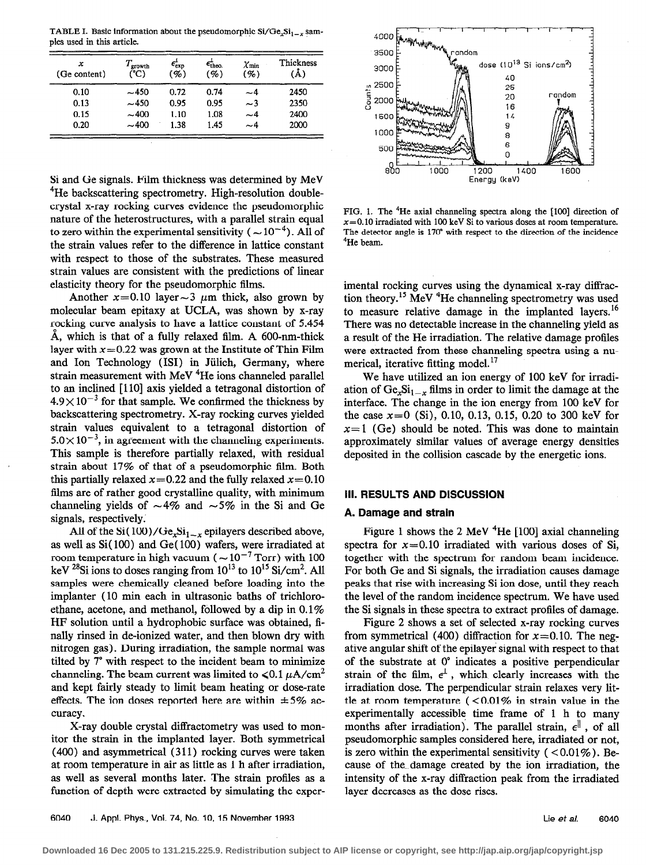TABLE I. Basic information about the pseudomorphic  $Si/Ge_{1}Si_{1-x}$  samples used in this article.

| x<br>(Ge content) | $T_{\rm growth}$<br>(°C) | $\epsilon_{\rm exp}$<br>( %) | $\epsilon_{\text{theo}}$<br>$( \% )$ | $\chi_{\rm min}$<br>$($ %) | Thickness<br>'Å) |
|-------------------|--------------------------|------------------------------|--------------------------------------|----------------------------|------------------|
| 0.10              | $-450$                   | 0.72                         | 0.74                                 | ~4                         | 2450             |
| 0.13              | $-450$                   | 0.95                         | 0.95                                 | $\sim$ 3                   | 2350             |
| 0.15              | $-400$                   | 1.10                         | 1.08                                 | $-4$                       | 2400             |
| 0.20              | $-400$                   | 1.38                         | 1.45                                 | $\sim\!4$                  | 2000             |

Si and Ge signals. Film thickness was determined by MeV <sup>4</sup>He backscattering spectrometry. High-resolution doublecrystal x-ray rocking curves evidence the pseudomorphic nature of the heterostructures, with a parallel strain equal to zero within the experimental sensitivity ( $\sim 10^{-4}$ ). All of the strain values refer to the difference in lattice constant with respect to those of the substrates. These measured strain values are consistent with the predictions of linear elasticity theory for the pseudomorphic films.

Another  $x=0.10$  layer $\sim$ 3  $\mu$ m thick, also grown by molecular beam epitaxy at UCLA, was shown by x-ray rocking curve analysis to have a lattice constant of 5.454 Å, which is that of a fully relaxed film. A  $600$ -nm-thick layer with  $x=0.22$  was grown at the Institute of Thin Film and Ion Technology (ISI) in Jülich, Germany, where strain measurement with MeV<sup>4</sup>He ions channeled parallel to an inclined [110] axis yielded a tetragonal distortion of  $4.9\times10^{-3}$  for that sample. We confirmed the thickness by backscattering spectrometry. X-ray rocking curves yielded strain values equivalent to a tetragonal distortion of  $5.0 \times 10^{-3}$ , in agreement with the channeling experiments. This sample is therefore partially relaxed, with residual strain about 17% of that of a pseudomorphic film. Both this partially relaxed  $x=0.22$  and the fully relaxed  $x=0.10$ films are of rather good crystalline quality, with minimum channeling yields of  $\sim 4\%$  and  $\sim 5\%$  in the Si and Ge signals, respectively:

All of the Si(100)/Ge<sub>x</sub>Si<sub>1-x</sub> epilayers described above, as well as Si( 100) and Ge( 100) wafers, were irradiated at room temperature in high vacuum ( $\sim 10^{-7}$  Torr) with 100 keV  $^{28}$ Si ions to doses ranging from  $10^{13}$  to  $10^{15}$  Si/cm<sup>2</sup>. All samples were chemically cleaned before loading into the implanter (10 min each in ultrasonic baths of trichloroethane, acetone, and methanol, followed by a dip in 0.1% HF solution until a hydrophobic surface was obtained, finally rinsed in de-ionized water, and then blown dry with nitrogen gas). During irradiation, the sample normal was tilted by 7" with respect to the incident beam to minimize channeling. The beam current was limited to  $\leq 0.1 \mu A/cm^2$ . and kept fairly steady to limit beam heating or dose-rate effects. The ion doses reported here are within  $\pm 5\%$  accuracy.

X-ray double crystal diffractometry was used to monitor the strain in the implanted layer. Both symmetrical (400) and asymmetrical (311) rocking curves were taken at room temperature in air as little as 1 h after irradiation, as well as several months later. The strain profiles as a function of depth were extracted by simulating the exper-



FIG. 1. The  ${}^{4}$ He axial channeling spectra along the [100] direction of  $x=0.10$  irradiated with 100 keV Si to various doses at room temperature. The detector angle is 170' with respect to the direction of the incidence 4He beam.

imental rocking curves using the dynamical x-ray diffraction theory.<sup>15</sup> MeV <sup>4</sup>He channeling spectrometry was used to measure relative damage in the implanted layers.<sup>16</sup> There was no detectable increase in the channeling yield as a result of the He irradiation. The relative damage profiles were extracted from these channeling spectra using a numerical, iterative fitting model.<sup>17</sup>

We have utilized an ion energy of 100 keV for irradiation of  $Ge_{x}Si_{1-x}$  films in order to limit the damage at the interface, The change in the ion energy from 100 keV for the case  $x=0$  (Si), 0.10, 0.13, 0.15, 0.20 to 300 keV for  $x=1$  (Ge) should be noted. This was done to maintain approximately similar values of average energy densities deposited in the collision cascade by the energetic ions.

# Ill. RESULTS AND DlSCUSSlON

#### A. Damage and strain

Figure 1 shows the 2 MeV  ${}^{4}$ He [100] axial channeling spectra for  $x=0.10$  irradiated with various doses of Si, together with the spectrum for random beam incidence. For both Ge and Si signals, the irradiation causes damage peaks that rise with increasing Si ion dose, until they reach the level of the random incidence spectrum. We have used the Si signals in these spectra to extract profiles of damage.

Figure 2 shows a set of selected x-ray rocking curves from symmetrical (400) diffraction for  $x=0.10$ . The negative angular shift of the epilayer signal with respect to that of the substrate at 0" indicates a positive perpendicular strain of the film,  $\epsilon^{\perp}$ , which clearly increases with the irradiation dose. The perpendicular strain relaxes very little at room temperature  $( < 0.01\%$  in strain value in the experimentally accessible time frame of 1 h to many months after irradiation). The parallel strain,  $\epsilon^{||}$ , of all pseudomorphic samples considered here, irradiated or not, is zero within the experimental sensitivity ( $\langle 0.01\% \rangle$ ). Because of the- damage created by the ion irradiation, the intensity of the x-ray diffraction peak from the irradiated layer decreases as the dose rises.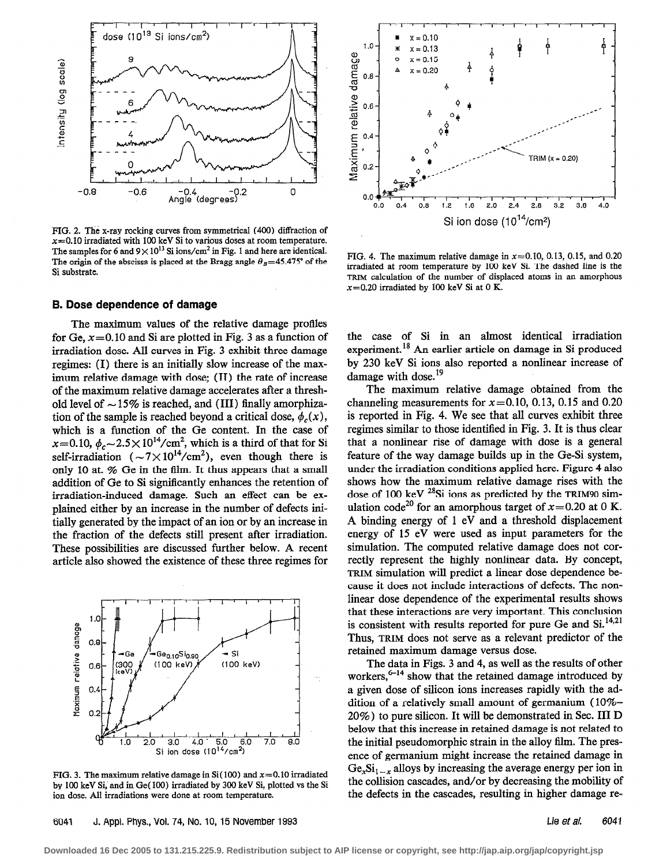

FIG. 2. The x-ray rocking curves from symmetrical (400) diffraction of  $x=0.10$  irradiated with 100 keV Si to various doses at room temperature. The samples for 6 and  $9 \times 10^{13}$  Si ions/cm<sup>2</sup> in Fig. 1 and here are identical. The origin of the abscissa is placed at the Bragg angle  $\theta_B = 45.475^{\circ}$  of the Si substrate.

## B. Dose dependence of damage

The maximum values of the relative damage profiles for Ge,  $x=0.10$  and Si are plotted in Fig. 3 as a function of irradiation dose. All curves in Fig. 3 exhibit three damage regimes: (I) there is an initially slow increase of the maximum relative damage with dose; (II) the rate of increase of the maximum relative damage accelerates after a threshold level of  $\sim$  15% is reached, and (III) finally amorphization of the sample is reached beyond a critical dose,  $\phi_c(x)$ , which is a function of the Ge content. In the case of  $x=0.10, \phi_c \sim 2.5 \times 10^{14} / \text{cm}^2$ , which is a third of that for Si self-irradiation  $({\sim}7{\times}10^{14}/{\rm cm}^2)$ , even though there is only 10 at. % Ge in the tim. It thus appears that a small addition of Ge to Si significantly enhances the retention of irradiation-induced damage. Such an effect can be explained either by an increase in the number of defects initially generated by the impact of an ion or by an increase in the fraction of the defects still present after irradiation. These possibilities are discussed further below. A recent article also showed the existence of these three regimes for



FIG. 3. The maximum relative damage in Si(100) and  $x=0.10$  irradiated by 100 keV Si, and in Ge(100) irradiated by 300 keV Si, plotted vs the Si ion dose. All irradiations were done at room temperature.



FIG. 4. The maximum relative damage in  $x=0.10$ , 0.13, 0.15, and 0.20 irradiated at room temperature by 100 keV Si. The dashed line is the TRIM calculation of the number of displaced atoms in an amorphous  $x=0.20$  irradiated by 100 keV Si at 0 K.

the case of Si in an almost identical irradiation experiment.18 An earlier article on damage in Si produced by 230 keV Si ions also reported a nonlinear increase of damage with dose.<sup>19</sup>

The maximum relative damage obtained from the channeling measurements for  $x=0.10$ , 0.13, 0.15 and 0.20 is reported in Fig. 4. We see that all curves exhibit three regimes similar to those identified in Fig. 3. It is thus clear that a nonlinear rise of damage with dose is a general feature of the way damage builds up in the Ge-Si system, under the irradiation conditions applied here. Figure 4 also shows how the maximum relative damage rises with the dose of 100 keV  $^{28}$ Si ions as predicted by the TRIM90 simulation code<sup>20</sup> for an amorphous target of  $x=0.20$  at 0 K. A binding energy of 1 eV and a threshold displacement energy of 15 eV were used as input parameters for the simulation. The computed relative damage does not correctly represent the highly nonlinear data. By concept, TRIM simulation will predict a linear dose dependence because it does not include interactions of defects. The nonlinear dose dependence of the experimental results shows that these interactions are very important. This conclusion is consistent with results reported for pure Ge and  $Si^{14,21}$ . Thus, TRIM does not serve as a relevant predictor of the retained maximum damage versus dose.

The data in Figs. 3 and 4, as well as the results of other workers, $6-14$  show that the retained damage introduced by a given dose of silicon ions increases rapidly with the addition of a relatively small amount of germanium  $(10\% -$ 20%) to pure silicon. It will be demonstrated in Sec. III D below that this increase in retained damage is not related to the initial pseudomorphic strain in the alloy film. The presence of germanium might increase the retained damage in  $Ge<sub>r</sub>Si<sub>1-r</sub>$  alloys by increasing the average energy per ion in the collision cascades, and/or by decreasing the mobility of the defects in the cascades, resulting in higher damage re-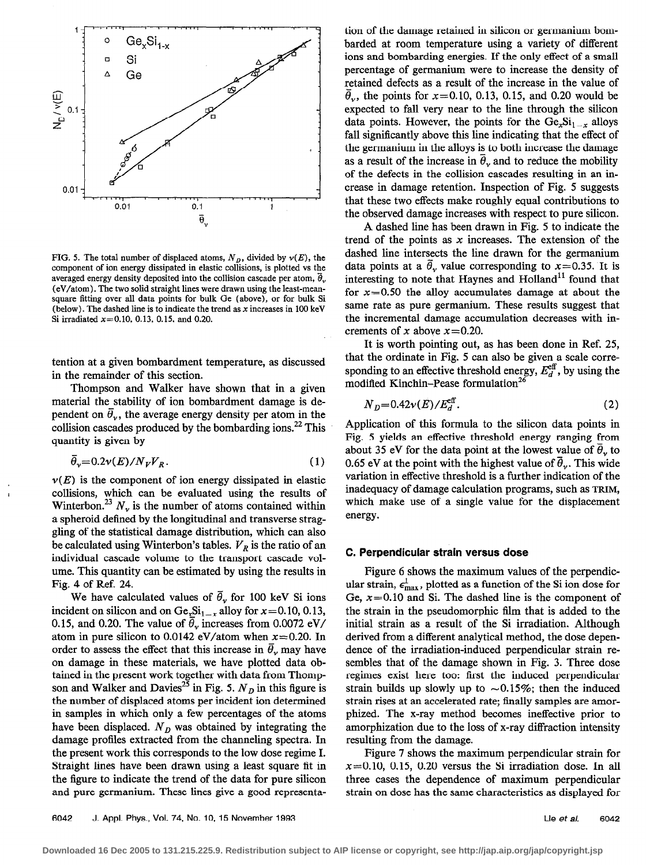

FIG. 5. The total number of displaced atoms,  $N_D$ , divided by  $v(E)$ , the component of ion energy dissipated in elastic collisions, is plotted vs the averaged energy density deposited into the collision cascade per atom,  $\vec{\theta}_{v}$ (eV/atom). The two solid straight limes were drawn using the least-meansquare fitting over all data points for bulk Ge (above), or for bulk Si (below). The dashed line is to indicate the trend as  $x$  increases in 100 keV Si irradiated  $x=0.10, 0.13, 0.15,$  and 0.20.

tention at a given bombardment temperature, as discussed in the remainder of this section.

Thompson and Walker have shown that in a given material the stability of ion bombardment damage is dependent on  $\bar{\theta}_v$ , the average energy density per atom in the collision cascades produced by the bombarding ions.<sup>22</sup> This quantity is given by

$$
\bar{\theta}_v = 0.2 \nu(E) / N_V V_R. \tag{1}
$$

 $\nu(E)$  is the component of ion energy dissipated in elastic collisions, which can be evaluated using the results of Winterbon.<sup>23</sup>  $N_v$ , is the number of atoms contained within a spheroid defined by the longitudinal and transverse straggling of the statistical damage distribution, which can also be calculated using Winterbon's tables.  $V_R$  is the ratio of an individual cascade volume to the transport cascade volume. This quantity can be estimated by using the results in Fig. 4 of Ref. 24.

We have calculated values of  $\bar{\theta}_{\nu}$  for 100 keV Si ions incident on silicon and on  $Ge<sub>x</sub>Si<sub>1-x</sub>$  alloy for  $x=0.10, 0.13$ , 0.15, and 0.20. The value of  $\bar{\theta}_v$  increases from 0.0072 eV/ atom in pure silicon to 0.0142 eV/atom when  $x=0.20$ . In order to assess the effect that this increase in  $\bar{\theta}_{\nu}$  may have on damage in these materials, we have plotted data obtained in the present work together with data from Thompson and Walker and Davies<sup>25</sup> in Fig. 5.  $N_D$  in this figure is the number of displaced atoms per incident ion determined in samples in which only a few percentages of the atoms have been displaced.  $N<sub>D</sub>$  was obtained by integrating the damage profiles extracted from the channeling spectra. In the present work this corresponds to the low dose regime I. Straight lines have been drawn using a least square fit in the figure to indicate the trend of the data for pure silicon and pure germanium. These lines give a good representation of the damage retained in silicon or germanium bombarded at room temperature using a variety of different ions and bombarding energies. If the only effect of a small percentage of germanium were to increase the density of retained defects as a result of the increase in the value of  $\bar{\theta}_v$ , the points for x=0.10, 0.13, 0.15, and 0.20 would be expected to fall very near to the line through the silicon data points. However, the points for the  $Ge<sub>x</sub>Si<sub>1-x</sub>$  alloys fall significantly above this line indicating that the effect of the germanium in the alloys is to both increase the damage as a result of the increase in  $\theta_{v}$  and to reduce the mobility of the defects in the collision cascades resulting in an increase in damage retention. Inspection of Fig. 5 suggests that these two effects make roughly equal contributions to the observed damage increases with respect to pure silicon.

A dashed line has been drawn in Fig. 5 to indicate the trend of the points as  $x$  increases. The extension of the dashed line intersects the line drawn for the germanium data points at a  $\bar{\theta}$ , value corresponding to x=0.35. It is interesting to note that Haynes and  $H$ olland<sup>11</sup> found that for  $x=0.50$  the alloy accumulates damage at about the same rate as pure germanium. These results suggest that the incremental damage accumulation decreases with increments of x above  $x=0.20$ .

It is worth pointing out, as has been done in Ref. 25, that the ordinate in Fig. 5 can also be given a scale corresponding to an effective threshold energy,  $E_d^{\text{eff}}$ , by using the modified Kinchin–Pease formulation<sup>26</sup>

$$
N_D=0.42\nu(E)/E_d^{\rm eff}.
$$

Application of this formula to the silicon data points in Fig. 5 yields an effective threshold energy ranging from about 35 eV for the data point at the lowest value of  $\theta$ , to 0.65 eV at the point with the highest value of  $\bar{\theta}_v$ . This wide variation in effective threshold is a further indication of the inadequacy of damage calculation programs, such as TRIM, which make use of a single value for the displacement energy.

#### C. Perpendicular strain versus dose

Figure 6 shows the maximum values of the perpendicular strain,  $\epsilon_{\text{max}}^{\perp}$ , plotted as a function of the Si ion dose for Ge,  $x=0.10$  and Si. The dashed line is the component of the strain in the pseudomorphic tim that is added to the initial strain as a result of the Si irradiation. Although derived from a different analytical method, the dose dependence of the irradiation-induced perpendicular strain resembles that of the damage shown in Fig. 3. Three dose regimes exist here too: first the induced perpendicular strain builds up slowly up to  $\sim 0.15\%$ ; then the induced strain rises at an accelerated rate; finally samples are amorphized. The x-ray method becomes ineffective prior to amorphization due to the loss of x-ray diffraction intensity resulting from the damage.

Figure 7 shows the maximum perpendicular strain for  $x=0.10$ , 0.15, 0.20 versus the Si irradiation dose. In all three cases the dependence of maximum perpendicular strain on dose has the same characteristics as displayed for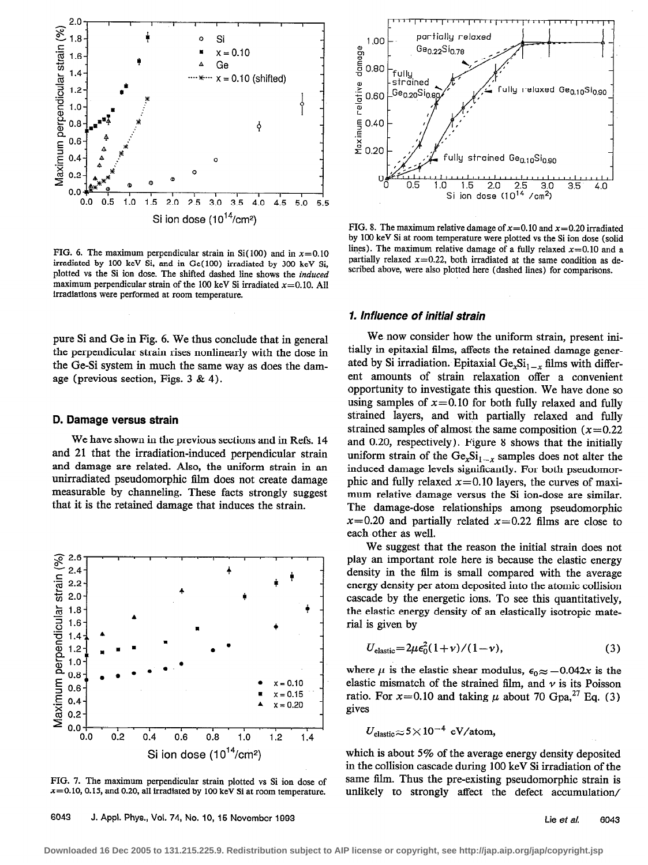

FIG. 6. The maximum perpendicular strain in Si(100) and in  $x=0.10$ irradiated by 100 keV Si, and in Ge( 100) irradiated by 300 keV Si, plotted vs the Si ion dose. The shifted dashed line shows the induced maximum perpendicular strain of the 100 keV Si irradiated  $x=0.10$ . All irradiations were performed at room temperature.

pure Si and Ge in Fig. 6. We thus conclude that in general the perpendicular strain rises nonlinearly with the dose in the Ge-Si system in much the same way as does the damage (previous section, Figs. 3 & 4).

#### D. Damage versus strain

We have shown in the previous sections and in Refs. 14 and 21 that the irradiation-induced perpendicular strain and damage are related. Also, the uniform strain in an unirradiated pseudomorphic film does not create damage measurable by channeling. These facts strongly suggest that it is the retained damage that induces the strain.



FIG. 7. The maximum perpendicular strain plotted vs Si ion dose of  $x=0.10$ , 0.15, and 0.20, all irradiated by 100 keV Si at room temperature.



FIG. 8. The maximum relative damage of  $x=0.10$  and  $x=0.20$  irradiated by 100 keV Si at room temperature were plotted vs the Si ion dose (solid lines). The maximum relative damage of a fully relaxed  $x=0.10$  and a partially relaxed  $x=0.22$ , both irradiated at the same condition as described above, were also plotted here (dashed lines) for comparisons.

## 1. Influence of initial strain

We now consider how the uniform strain, present initially in epitaxial films, affects the retained damage generated by Si irradiation. Epitaxial  $Ge_xSi_{1-x}$  films with different amounts of strain relaxation offer a convenient opportunity to investigate this question. We have done so using samples of  $x=0.10$  for both fully relaxed and fully strained layers, and with partially relaxed and fully strained samples of almost the same composition  $(x=0.22)$ and 0.20, respectively). Figure 8 shows that the initially uniform strain of the  $Ge_xSi_{1-x}$  samples does not alter the induced damage levels significantly. For both pseudomorphic and fully relaxed  $x=0.10$  layers, the curves of maximum relative damage versus the Si ion-dose are similar. The damage-dose relationships among pseudomorphic  $x=0.20$  and partially related  $x=0.22$  films are close to each other as well.

We suggest that the reason the initial strain does not play an important role here is because the elastic energy density in the film is small compared with the average energy density per atom deposited into the atomic collision cascade by the energetic ions. To see this quantitatively, the elastic energy density of an elastically isotropic material is given by

$$
U_{\text{elastic}} = 2\mu\epsilon_0^2(1+\nu)/(1-\nu),\tag{3}
$$

where  $\mu$  is the elastic shear modulus,  $\epsilon_0 \approx -0.042x$  is the elastic mismatch of the strained film, and  $\nu$  is its Poisson ratio. For  $x=0.10$  and taking  $\mu$  about 70 Gpa,<sup>27</sup> Eq. (3) gives

$$
U_{\text{elastic}} \approx 5 \times 10^{-4} \text{ eV/atom},
$$

which is about 5% of the average energy density deposited in the collision cascade during 100 keV Si irradiation of the same film. Thus the pre-existing pseudomorphic strain is unlikely to strongly affect the defect accumulation/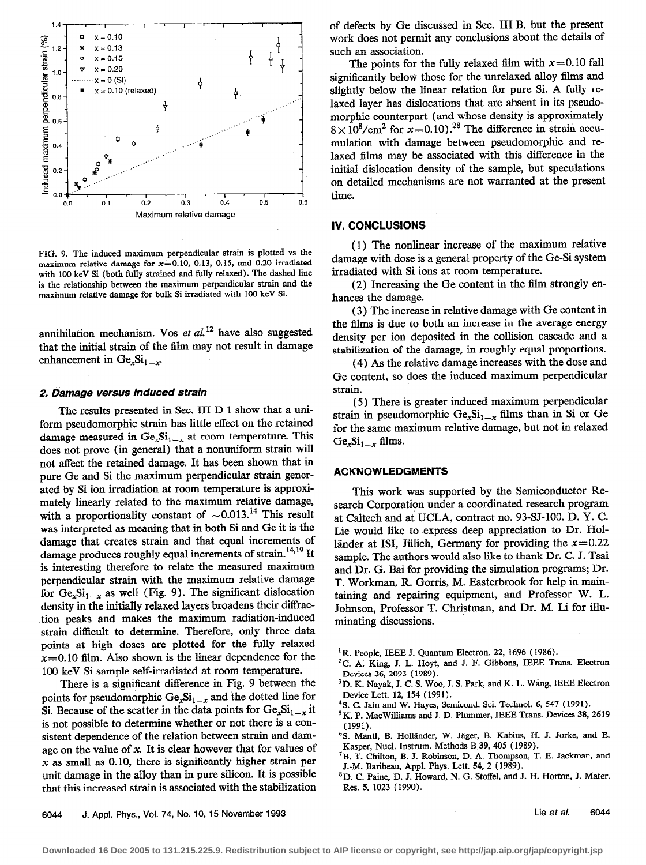

FIG. 9. The induced maximum perpendicular strain is plotted vs the maximum relative damage for  $x=0.10$ , 0.13, 0.15, and 0.20 irradiated with 100 keV Si (both fully strained and fully relaxed). The dashed line is the relationship between the maximum perpendicular strain and the maximum relative damage for bulk Si irradiated with 100 keV Si.

annihilation mechanism. Vos et  $al$ <sup>12</sup> have also suggested that the initial strain of the film may not result in damage enhancement in  $Ge_xSi_{1-x}$ .

#### 2. Damage versus induced strain

The results presented in Sec. III D 1 show that a uniform pseudomorphic strain has little effect on the retained damage measured in  $Ge<sub>x</sub>Si<sub>1-x</sub>$  at room temperature. This does not prove (in general) that a nonuniform strain will not affect the retained damage. It has been shown that in pure Ge and Si the maximum perpendicular strain generated by Si ion irradiation at room temperature is approximately linearly related to the maximum relative damage, with a proportionality constant of  $\sim 0.013$ .<sup>14</sup> This result was interpreted as meaning that in both Si and Ge it is the damage that creates strain and that equal increments of damage produces roughly equal increments of strain.<sup>14,19</sup> It is interesting therefore to relate the measured maximum perpendicular strain with the maximum relative damage for  $Ge_xSi_{1-x}$  as well (Fig. 9). The significant dislocation density in the initially relaxed layers broadens their diffrac-.tion peaks and makes the maximum radiation-induced strain difficult to determine. Therefore, only three data points at high doses are plotted for the fully relaxed  $x=0.10$  film. Also shown is the linear dependence for the 100 keV Si sample self-irradiated at room temperature.

There is a significant difference in Fig. 9 between the points for pseudomorphic  $Ge_xSi_{1-x}$  and the dotted line for Si. Because of the scatter in the data points for  $Ge_{x}Si_{1-x}$  it is not possible to determine whether or not there is a consistent dependence of the relation between strain and damage on the value of  $x$ . It is clear however that for values of  $x$  as small as 0.10, there is significantly higher strain per unit damage in the alloy than in pure silicon. It is possible that this increased strain is associated with the stabilization

of defects by Ge discussed in Sec. III B, but the present work does not permit any conclusions about the details of such an association.

The points for the fully relaxed film with  $x=0.10$  fall significantly below those for the unrelaxed alloy films and slightly below the linear relation for pure Si. A fully relaxed layer has dislocations that are absent in its pseudomorphic counterpart (and whose density is approximately  $8 \times 10^8$ /cm<sup>2</sup> for  $x=0.10$ ).<sup>28</sup> The difference in strain accumulation with damage between pseudomorphic and relaxed films may be associated with this difference in the initial dislocation density of the sample, but speculations on detailed mechanisms are not warranted at the present time.

# IV. CONCLUSIONS

( 1) The nonlinear increase of the maximum relative damage with dose is a general property of the Ge-Si system irradiated with Si ions at room temperature.

(2) Increasing the Ge content in the film strongly enhances the damage.

(3) The increase in relative damage with Ge content in the films is due to both an increase in the average energy density per ion deposited in the collision cascade and a stabilization of the damage, in roughly equal proportions.

(4) As the relative damage increases with the dose and Ge content, so does the induced maximum perpendicular strain.

(5) There is greater induced maximum perpendicular strain in pseudomorphic  $Ge_xSi_{1-x}$  films than in Si or Ge for the same maximum relative damage, but not in relaxed  $Ge_xSi_{1-x}$  films.

#### ACKNOWLEDGMENTS

This work was supported by the Semiconductor Research Corporation under a coordinated research program at Caltech and at UCLA, contract no. 93-SJ-100. D. Y. C. Lie would like to express deep appreciation to Dr. Holländer at ISI, Jülich, Germany for providing the  $x=0.22$ sample. The authors would also like to thank Dr. C. J. Tsai and Dr. G. Bai for providing the simulation programs; Dr. T. Workman, R. Gorris, M. Easterbrook for help in maintaining and repairing equipment, and Professor W. L. Johnson, Professor T. Christman, and Dr. M. Li for illuminating discussions.

- <sup>1</sup> R. People, IEEE J. Quantum Electron. 22, 1696 (1986).
- ${}^{2}$ C. A. King, J. L. Hoyt, and J. F. Gibbons, IEEE Trans. Electron Devices 36, 2093 (1989).
- <sup>3</sup> D. K. Navak, J. C. S. Woo, J. S. Park, and K. L. Wang, IEEE Electron Device Lett. 12, 154 (1991).
- <sup>4</sup>S. C. Jain and W. Hayes, Semicond. Sci. Technol. 6, 547 (1991).
- 5 K. P. MacWilliams and J. D. Plummer, IEEE Trans. Devices 38, 2619 (1991).
- <sup>6</sup>S. Mantl, B. Holländer, W. Jäger, B. Kabius, H. J. Jorke, and E. Kasper, Nucl. Instrum. Methods B 39, 405 (1989).
- 'B. T. Chilton, B. J. Robinson, D. A. Thompson, T. E. Jackman, and J.-M. Baribeau, Appl. Phys. Lett. 54, 2 (1989).
- \*D. C. Paine, D. J. Howard, N. G. Stoffel, and J. H. Horton, J. Mater. Res. 5, 1023 (1990).

6044 J. Appl. Phys., Vol. 74, No. 10, 15 November 1993 **Liefeld State Contract Contract Contract Contract Contract Contract Contract Contract Contract Contract Contract Contract Contract Contract Contract Contract Contract**